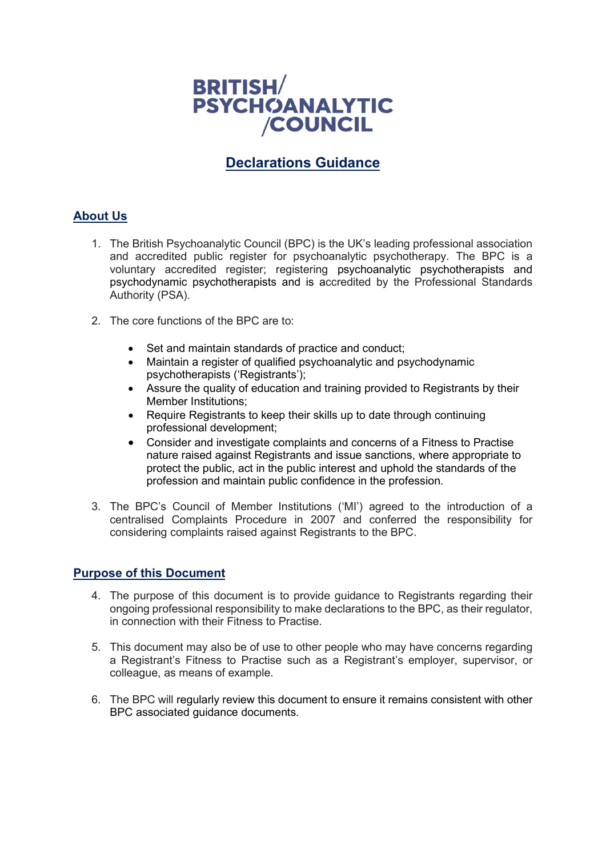

# **Declarations Guidance**

# **About Us**

- 1. The British Psychoanalytic Council (BPC) is the UK's leading professional association and accredited public register for psychoanalytic psychotherapy. The BPC is a voluntary accredited register; registering psychoanalytic psychotherapists and psychodynamic psychotherapists and is accredited by the Professional Standards Authority (PSA).
- 2. The core functions of the BPC are to:
	- Set and maintain standards of practice and conduct;
	- Maintain a register of qualified psychoanalytic and psychodynamic psychotherapists ('Registrants');
	- Assure the quality of education and training provided to Registrants by their Member Institutions;
	- Require Registrants to keep their skills up to date through continuing professional development;
	- Consider and investigate complaints and concerns of a Fitness to Practise nature raised against Registrants and issue sanctions, where appropriate to protect the public, act in the public interest and uphold the standards of the profession and maintain public confidence in the profession.
- 3. The BPC's Council of Member Institutions ('MI') agreed to the introduction of a centralised Complaints Procedure in 2007 and conferred the responsibility for considering complaints raised against Registrants to the BPC.

# **Purpose of this Document**

- 4. The purpose of this document is to provide guidance to Registrants regarding their ongoing professional responsibility to make declarations to the BPC, as their regulator, in connection with their Fitness to Practise.
- 5. This document may also be of use to other people who may have concerns regarding a Registrant's Fitness to Practise such as a Registrant's employer, supervisor, or colleague, as means of example.
- 6. The BPC will regularly review this document to ensure it remains consistent with other BPC associated guidance documents.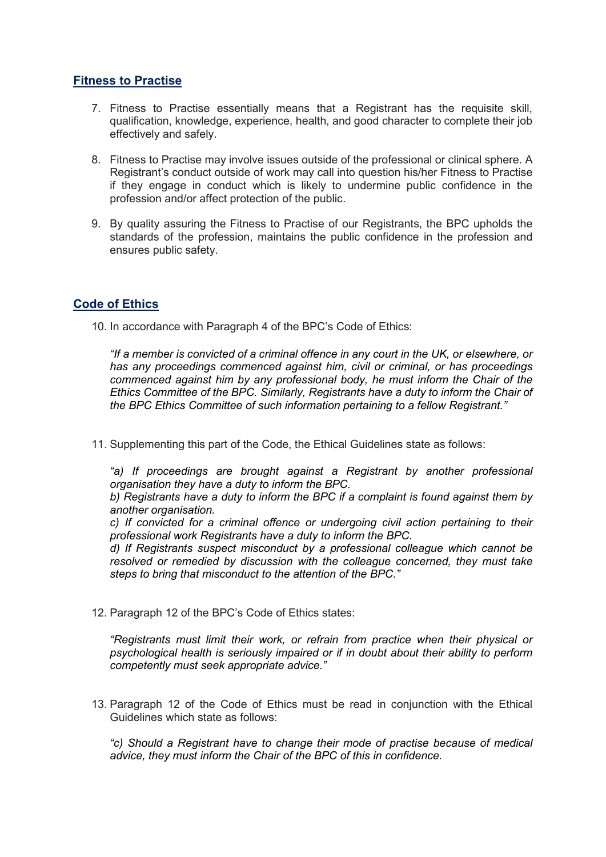# **Fitness to Practise**

- 7. Fitness to Practise essentially means that a Registrant has the requisite skill, qualification, knowledge, experience, health, and good character to complete their job effectively and safely.
- 8. Fitness to Practise may involve issues outside of the professional or clinical sphere. A Registrant's conduct outside of work may call into question his/her Fitness to Practise if they engage in conduct which is likely to undermine public confidence in the profession and/or affect protection of the public.
- 9. By quality assuring the Fitness to Practise of our Registrants, the BPC upholds the standards of the profession, maintains the public confidence in the profession and ensures public safety.

# **Code of Ethics**

10. In accordance with Paragraph 4 of the BPC's Code of Ethics:

*"If a member is convicted of a criminal offence in any court in the UK, or elsewhere, or has any proceedings commenced against him, civil or criminal, or has proceedings commenced against him by any professional body, he must inform the Chair of the Ethics Committee of the BPC. Similarly, Registrants have a duty to inform the Chair of the BPC Ethics Committee of such information pertaining to a fellow Registrant."*

11. Supplementing this part of the Code, the Ethical Guidelines state as follows:

 $a$ ) If proceedings are brought against a Registrant by another professional *organisation they have a duty to inform the BPC.*

*b) Registrants have a duty to inform the BPC if a complaint is found against them by another organisation.*

*c) If convicted for a criminal offence or undergoing civil action pertaining to their professional work Registrants have a duty to inform the BPC.*

*d) If Registrants suspect misconduct by a professional colleague which cannot be resolved or remedied by discussion with the colleague concerned, they must take steps to bring that misconduct to the attention of the BPC."*

12. Paragraph 12 of the BPC's Code of Ethics states:

*"Registrants must limit their work, or refrain from practice when their physical or psychological health is seriously impaired or if in doubt about their ability to perform competently must seek appropriate advice."*

13. Paragraph 12 of the Code of Ethics must be read in conjunction with the Ethical Guidelines which state as follows:

*"c) Should a Registrant have to change their mode of practise because of medical advice, they must inform the Chair of the BPC of this in confidence.*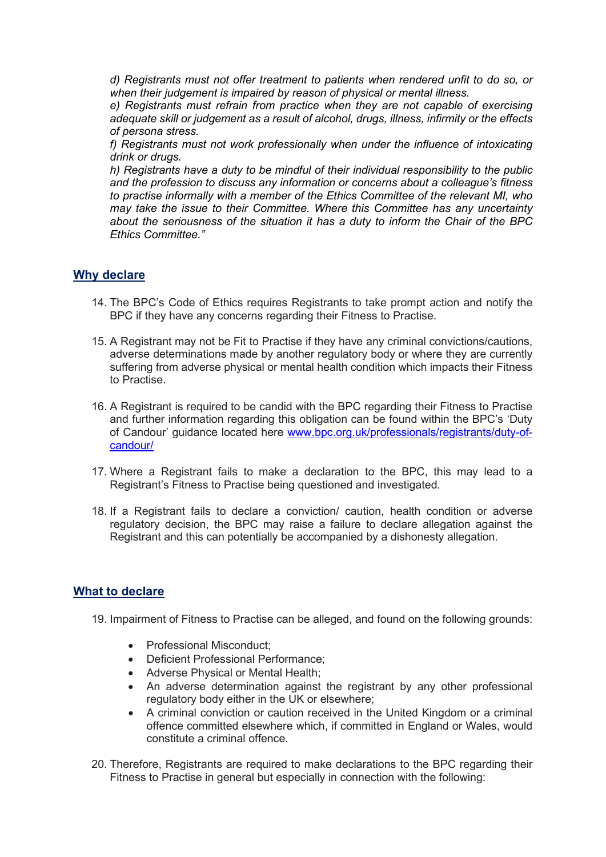*d) Registrants must not offer treatment to patients when rendered unfit to do so, or when their judgement is impaired by reason of physical or mental illness.*

*e) Registrants must refrain from practice when they are not capable of exercising adequate skill or judgement as a result of alcohol, drugs, illness, infirmity or the effects of persona stress.*

*f) Registrants must not work professionally when under the influence of intoxicating drink or drugs.*

*h) Registrants have a duty to be mindful of their individual responsibility to the public and the profession to discuss any information or concerns about a colleague's fitness to practise informally with a member of the Ethics Committee of the relevant MI, who may take the issue to their Committee. Where this Committee has any uncertainty about the seriousness of the situation it has a duty to inform the Chair of the BPC Ethics Committee."*

#### **Why declare**

- 14. The BPC's Code of Ethics requires Registrants to take prompt action and notify the BPC if they have any concerns regarding their Fitness to Practise.
- 15. A Registrant may not be Fit to Practise if they have any criminal convictions/cautions, adverse determinations made by another regulatory body or where they are currently suffering from adverse physical or mental health condition which impacts their Fitness to Practise.
- 16. A Registrant is required to be candid with the BPC regarding their Fitness to Practise and further information regarding this obligation can be found within the BPC's 'Duty of Candour' guidance located here [www.bpc.org.uk/professionals/registrants/duty-of](http://www.bpc.org.uk/professionals/registrants/duty-of-candour/)[candour/](http://www.bpc.org.uk/professionals/registrants/duty-of-candour/)
- 17. Where a Registrant fails to make a declaration to the BPC, this may lead to a Registrant's Fitness to Practise being questioned and investigated.
- 18. If a Registrant fails to declare a conviction/ caution, health condition or adverse regulatory decision, the BPC may raise a failure to declare allegation against the Registrant and this can potentially be accompanied by a dishonesty allegation.

#### **What to declare**

- 19. Impairment of Fitness to Practise can be alleged, and found on the following grounds:
	- Professional Misconduct:
	- Deficient Professional Performance;
	- Adverse Physical or Mental Health;
	- An adverse determination against the registrant by any other professional regulatory body either in the UK or elsewhere;
	- A criminal conviction or caution received in the United Kingdom or a criminal offence committed elsewhere which, if committed in England or Wales, would constitute a criminal offence.
- 20. Therefore, Registrants are required to make declarations to the BPC regarding their Fitness to Practise in general but especially in connection with the following: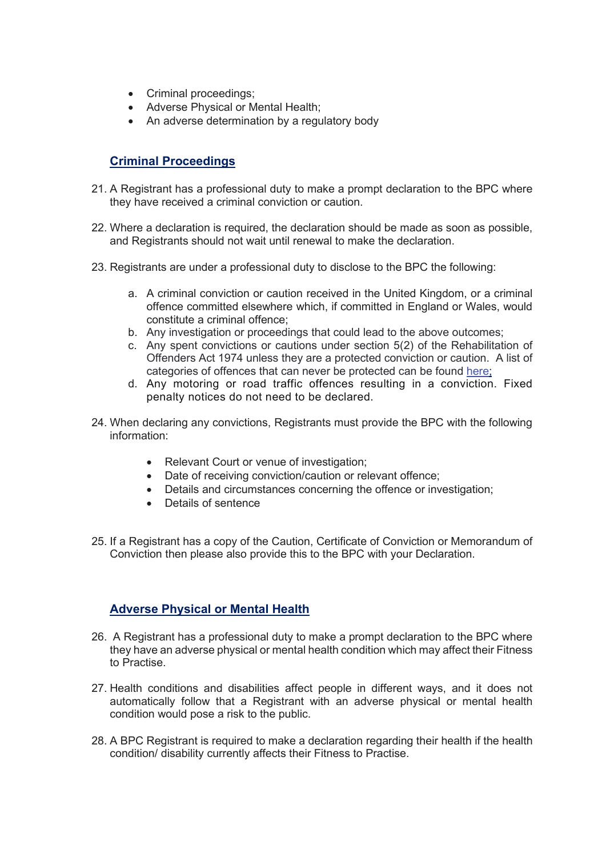- Criminal proceedings;
- Adverse Physical or Mental Health;
- An adverse determination by a regulatory body

## **Criminal Proceedings**

- 21. A Registrant has a professional duty to make a prompt declaration to the BPC where they have received a criminal conviction or caution.
- 22. Where a declaration is required, the declaration should be made as soon as possible, and Registrants should not wait until renewal to make the declaration.
- 23. Registrants are under a professional duty to disclose to the BPC the following:
	- a. A criminal conviction or caution received in the United Kingdom, or a criminal offence committed elsewhere which, if committed in England or Wales, would constitute a criminal offence;
	- b. Any investigation or proceedings that could lead to the above outcomes;
	- c. Any spent convictions or cautions under section 5(2) of the Rehabilitation of Offenders Act 1974 unless they are a protected conviction or caution. A list of categories of offences that can never be protected can be found [here;](https://www.gov.uk/government/publications/dbs-list-of-offences-that-will-never-be-filtered-from-a-criminal-record-check)
	- d. Any motoring or road traffic offences resulting in a conviction. Fixed penalty notices do not need to be declared.
- 24. When declaring any convictions, Registrants must provide the BPC with the following information:
	- Relevant Court or venue of investigation;
	- Date of receiving conviction/caution or relevant offence;
	- Details and circumstances concerning the offence or investigation;
	- Details of sentence
- 25. If a Registrant has a copy of the Caution, Certificate of Conviction or Memorandum of Conviction then please also provide this to the BPC with your Declaration.

# **Adverse Physical or Mental Health**

- 26. A Registrant has a professional duty to make a prompt declaration to the BPC where they have an adverse physical or mental health condition which may affect their Fitness to Practise.
- 27. Health conditions and disabilities affect people in different ways, and it does not automatically follow that a Registrant with an adverse physical or mental health condition would pose a risk to the public.
- 28. A BPC Registrant is required to make a declaration regarding their health if the health condition/ disability currently affects their Fitness to Practise.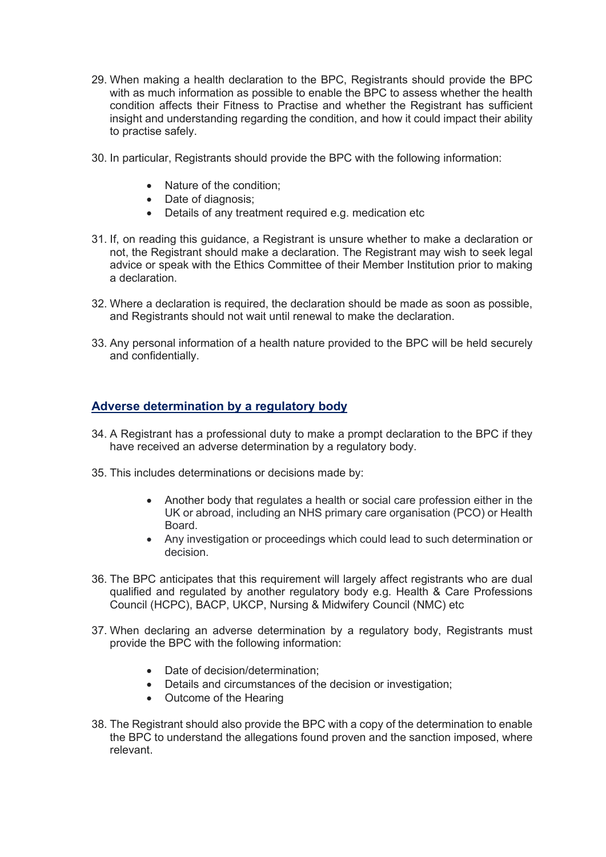- 29. When making a health declaration to the BPC, Registrants should provide the BPC with as much information as possible to enable the BPC to assess whether the health condition affects their Fitness to Practise and whether the Registrant has sufficient insight and understanding regarding the condition, and how it could impact their ability to practise safely.
- 30. In particular, Registrants should provide the BPC with the following information:
	- Nature of the condition:
	- Date of diagnosis;
	- Details of any treatment required e.g. medication etc
- 31. If, on reading this guidance, a Registrant is unsure whether to make a declaration or not, the Registrant should make a declaration. The Registrant may wish to seek legal advice or speak with the Ethics Committee of their Member Institution prior to making a declaration.
- 32. Where a declaration is required, the declaration should be made as soon as possible, and Registrants should not wait until renewal to make the declaration.
- 33. Any personal information of a health nature provided to the BPC will be held securely and confidentially.

# **Adverse determination by a regulatory body**

- 34. A Registrant has a professional duty to make a prompt declaration to the BPC if they have received an adverse determination by a regulatory body.
- 35. This includes determinations or decisions made by:
	- Another body that regulates a health or social care profession either in the UK or abroad, including an NHS primary care organisation (PCO) or Health Board.
	- Any investigation or proceedings which could lead to such determination or decision.
- 36. The BPC anticipates that this requirement will largely affect registrants who are dual qualified and regulated by another regulatory body e.g. Health & Care Professions Council (HCPC), BACP, UKCP, Nursing & Midwifery Council (NMC) etc
- 37. When declaring an adverse determination by a regulatory body, Registrants must provide the BPC with the following information:
	- Date of decision/determination;
	- Details and circumstances of the decision or investigation;
	- Outcome of the Hearing
- 38. The Registrant should also provide the BPC with a copy of the determination to enable the BPC to understand the allegations found proven and the sanction imposed, where relevant.